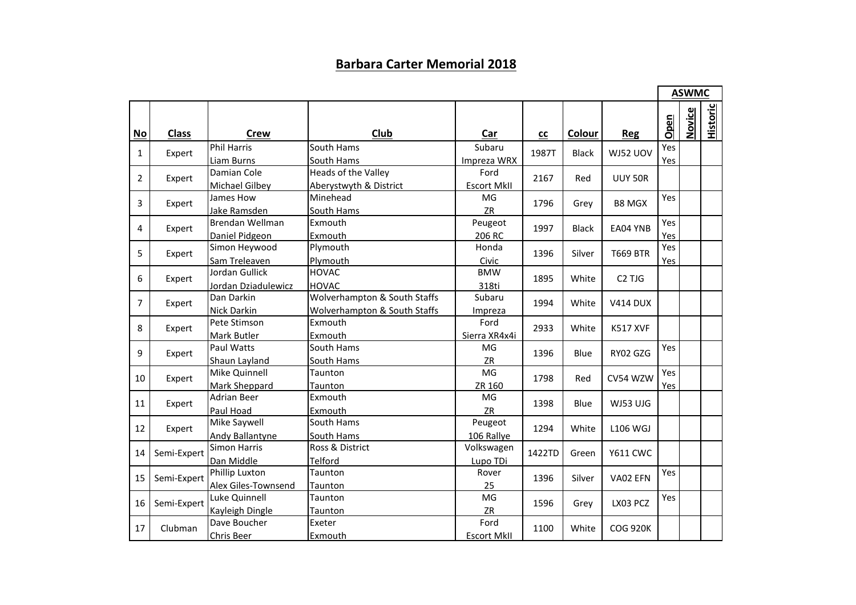## **Barbara Carter Memorial 2018**

|                |              |                     |                              |                    |        |              |                                |      | <b>ASWMC</b>  |                 |
|----------------|--------------|---------------------|------------------------------|--------------------|--------|--------------|--------------------------------|------|---------------|-----------------|
| $No$           | <b>Class</b> | <b>Crew</b>         | Club                         | Car                | cc     | Colour       | <b>Reg</b>                     | Open | <b>Novice</b> | <b>Historic</b> |
|                | Expert       | <b>Phil Harris</b>  | South Hams                   | Subaru             | 1987T  | <b>Black</b> | WJ52 UOV                       | Yes  |               |                 |
| 1              |              | Liam Burns          | South Hams                   | Impreza WRX        |        |              |                                | Yes  |               |                 |
| 2              | Expert       | Damian Cole         | Heads of the Valley          | Ford               | 2167   | Red          | <b>UUY 50R</b>                 |      |               |                 |
|                |              | Michael Gilbey      | Aberystwyth & District       | Escort MkII        |        |              |                                |      |               |                 |
| 3              | Expert       | James How           | Minehead                     | MG                 | 1796   | Grey         | <b>B8 MGX</b>                  | Yes  |               |                 |
|                |              | Jake Ramsden        | South Hams                   | ZR                 |        |              |                                |      |               |                 |
| 4              | Expert       | Brendan Wellman     | Exmouth                      | Peugeot            | 1997   | <b>Black</b> | EA04 YNB                       | Yes  |               |                 |
|                |              | Daniel Pidgeon      | Exmouth                      | 206 RC             |        |              |                                | Yes  |               |                 |
| 5              | Expert       | Simon Heywood       | Plymouth                     | Honda              | 1396   | Silver       | <b>T669 BTR</b>                | Yes  |               |                 |
|                |              | Sam Treleaven       | Plymouth                     | Civic              |        |              |                                | Yes  |               |                 |
| 6              | Expert       | Jordan Gullick      | <b>HOVAC</b>                 | <b>BMW</b>         | 1895   | White        | C <sub>2</sub> TJ <sub>G</sub> |      |               |                 |
|                |              | Jordan Dziadulewicz | <b>HOVAC</b>                 | 318ti              |        |              |                                |      |               |                 |
| $\overline{7}$ | Expert       | Dan Darkin          | Wolverhampton & South Staffs | Subaru             | 1994   | White        | <b>V414 DUX</b>                |      |               |                 |
|                |              | Nick Darkin         | Wolverhampton & South Staffs | Impreza            |        |              |                                |      |               |                 |
| 8              | Expert       | Pete Stimson        | Exmouth                      | Ford               | 2933   | White        | <b>K517 XVF</b>                |      |               |                 |
|                |              | Mark Butler         | Exmouth                      | Sierra XR4x4i      |        |              |                                |      |               |                 |
| 9              | Expert       | Paul Watts          | South Hams                   | MG                 | 1396   | Blue         | RY02 GZG                       | Yes  |               |                 |
|                |              | Shaun Layland       | South Hams                   | ZR                 |        |              |                                |      |               |                 |
| 10             | Expert       | Mike Quinnell       | Taunton                      | MG                 | 1798   | Red          | CV54 WZW                       | Yes  |               |                 |
|                |              | Mark Sheppard       | Taunton                      | ZR 160             |        |              |                                | Yes  |               |                 |
| 11             | Expert       | <b>Adrian Beer</b>  | Exmouth                      | MG                 | 1398   | Blue         | WJ53 UJG                       |      |               |                 |
|                |              | Paul Hoad           | Exmouth                      | ZR                 |        |              |                                |      |               |                 |
| 12             | Expert       | Mike Saywell        | South Hams                   | Peugeot            | 1294   | White        | <b>L106 WGJ</b>                |      |               |                 |
|                |              | Andy Ballantyne     | South Hams                   | 106 Rallye         |        |              |                                |      |               |                 |
| 14             | Semi-Expert  | <b>Simon Harris</b> | Ross & District              | Volkswagen         | 1422TD | Green        | <b>Y611 CWC</b>                |      |               |                 |
|                |              | Dan Middle          | Telford                      | Lupo TDi           |        |              |                                |      |               |                 |
| 15             | Semi-Expert  | Phillip Luxton      | Taunton                      | Rover              | 1396   | Silver       | VA02 EFN                       | Yes  |               |                 |
|                |              | Alex Giles-Townsend | Taunton                      | 25                 |        |              |                                |      |               |                 |
| 16             | Semi-Expert  | Luke Quinnell       | Taunton                      | MG                 | 1596   | Grey         | LX03 PCZ                       | Yes  |               |                 |
|                |              | Kayleigh Dingle     | Taunton                      | ZR                 |        |              |                                |      |               |                 |
| 17             | Clubman      | Dave Boucher        | Exeter                       | Ford               | 1100   | White        | <b>COG 920K</b>                |      |               |                 |
|                |              | Chris Beer          | Exmouth                      | <b>Escort MkII</b> |        |              |                                |      |               |                 |